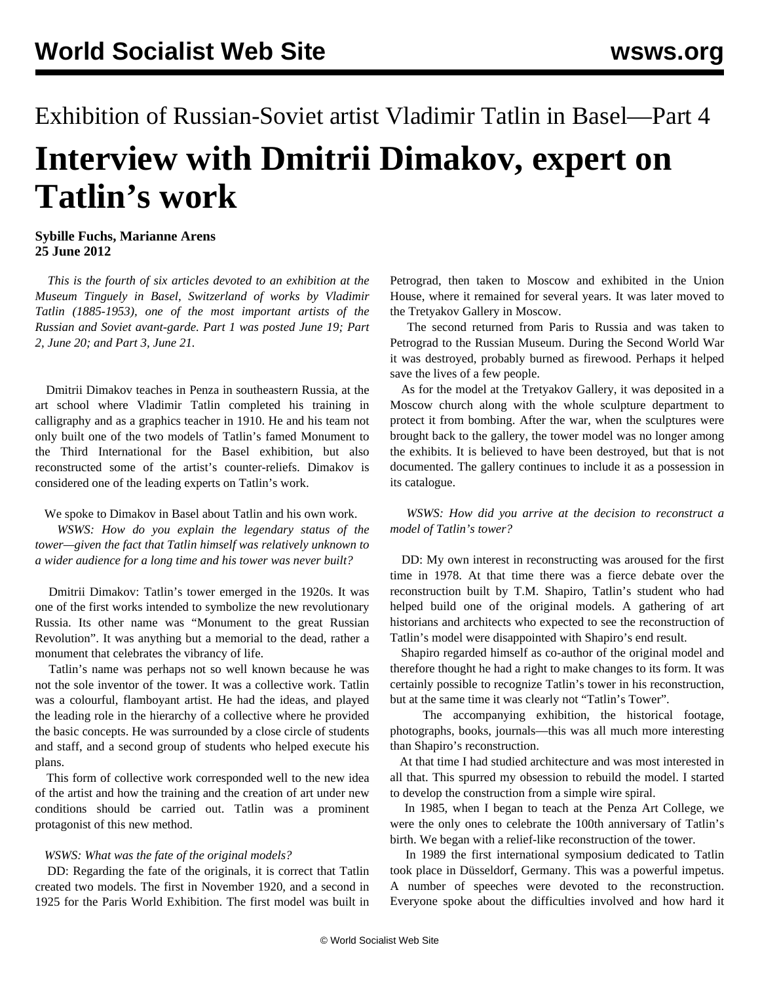# Exhibition of Russian-Soviet artist Vladimir Tatlin in Basel—Part 4 **Interview with Dmitrii Dimakov, expert on Tatlin's work**

# **Sybille Fuchs, Marianne Arens 25 June 2012**

 *This is the fourth of six articles devoted to an exhibition at the Museum Tinguely in Basel, Switzerland of works by Vladimir Tatlin (1885-1953), one of the most important artists of the Russian and Soviet avant-garde. [Part 1](/en/articles/2012/jun2012/tat1-j19.shtml) was posted June 19; [Part](/en/articles/2012/jun2012/tat2-j20.shtml) [2](/en/articles/2012/jun2012/tat2-j20.shtml), June 20; and [Part 3](/en/articles/2012/jun2012/tat3-j21.shtml), June 21.*

 Dmitrii Dimakov teaches in Penza in southeastern Russia, at the art school where Vladimir Tatlin completed his training in calligraphy and as a graphics teacher in 1910. He and his team not only built one of the two models of Tatlin's famed Monument to the Third International for the Basel exhibition, but also reconstructed some of the artist's counter-reliefs. Dimakov is considered one of the leading experts on Tatlin's work.

### We spoke to Dimakov in Basel about Tatlin and his own work.

 *WSWS: How do you explain the legendary status of the tower—given the fact that Tatlin himself was relatively unknown to a wider audience for a long time and his tower was never built?*

 Dmitrii Dimakov: Tatlin's tower emerged in the 1920s. It was one of the first works intended to symbolize the new revolutionary Russia. Its other name was "Monument to the great Russian Revolution". It was anything but a memorial to the dead, rather a monument that celebrates the vibrancy of life.

 Tatlin's name was perhaps not so well known because he was not the sole inventor of the tower. It was a collective work. Tatlin was a colourful, flamboyant artist. He had the ideas, and played the leading role in the hierarchy of a collective where he provided the basic concepts. He was surrounded by a close circle of students and staff, and a second group of students who helped execute his plans.

 This form of collective work corresponded well to the new idea of the artist and how the training and the creation of art under new conditions should be carried out. Tatlin was a prominent protagonist of this new method.

#### *WSWS: What was the fate of the original models?*

 DD: Regarding the fate of the originals, it is correct that Tatlin created two models. The first in November 1920, and a second in 1925 for the Paris World Exhibition. The first model was built in Petrograd, then taken to Moscow and exhibited in the Union House, where it remained for several years. It was later moved to the Tretyakov Gallery in Moscow.

 The second returned from Paris to Russia and was taken to Petrograd to the Russian Museum. During the Second World War it was destroyed, probably burned as firewood. Perhaps it helped save the lives of a few people.

 As for the model at the Tretyakov Gallery, it was deposited in a Moscow church along with the whole sculpture department to protect it from bombing. After the war, when the sculptures were brought back to the gallery, the tower model was no longer among the exhibits. It is believed to have been destroyed, but that is not documented. The gallery continues to include it as a possession in its catalogue.

 *WSWS: How did you arrive at the decision to reconstruct a model of Tatlin's tower?*

 DD: My own interest in reconstructing was aroused for the first time in 1978. At that time there was a fierce debate over the reconstruction built by T.M. Shapiro, Tatlin's student who had helped build one of the original models. A gathering of art historians and architects who expected to see the reconstruction of Tatlin's model were disappointed with Shapiro's end result.

 Shapiro regarded himself as co-author of the original model and therefore thought he had a right to make changes to its form. It was certainly possible to recognize Tatlin's tower in his reconstruction, but at the same time it was clearly not "Tatlin's Tower".

 The accompanying exhibition, the historical footage, photographs, books, journals—this was all much more interesting than Shapiro's reconstruction.

 At that time I had studied architecture and was most interested in all that. This spurred my obsession to rebuild the model. I started to develop the construction from a simple wire spiral.

 In 1985, when I began to teach at the Penza Art College, we were the only ones to celebrate the 100th anniversary of Tatlin's birth. We began with a relief-like reconstruction of the tower.

 In 1989 the first international symposium dedicated to Tatlin took place in Düsseldorf, Germany. This was a powerful impetus. A number of speeches were devoted to the reconstruction. Everyone spoke about the difficulties involved and how hard it